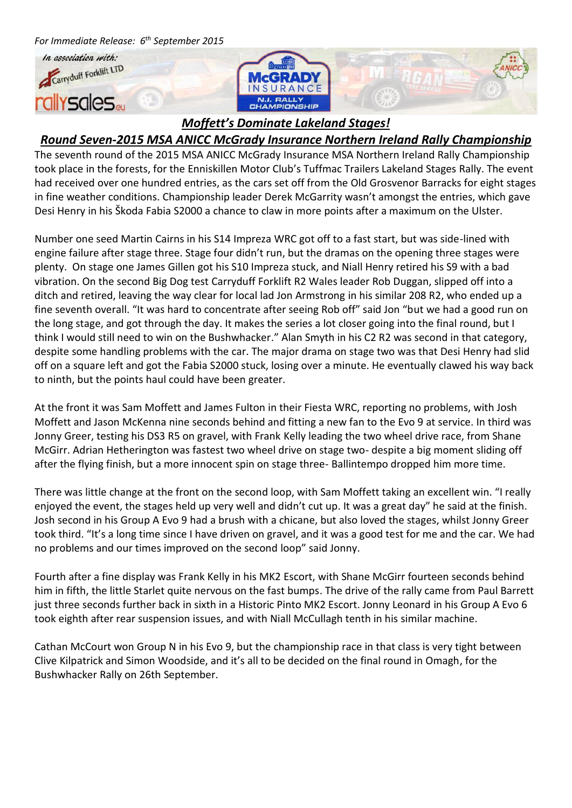

## *Round Seven-2015 MSA ANICC McGrady Insurance Northern Ireland Rally Championship*

The seventh round of the 2015 MSA ANICC McGrady Insurance MSA Northern Ireland Rally Championship took place in the forests, for the Enniskillen Motor Club's Tuffmac Trailers Lakeland Stages Rally. The event had received over one hundred entries, as the cars set off from the Old Grosvenor Barracks for eight stages in fine weather conditions. Championship leader Derek McGarrity wasn't amongst the entries, which gave Desi Henry in his Škoda Fabia S2000 a chance to claw in more points after a maximum on the Ulster.

Number one seed Martin Cairns in his S14 Impreza WRC got off to a fast start, but was side-lined with engine failure after stage three. Stage four didn't run, but the dramas on the opening three stages were plenty. On stage one James Gillen got his S10 Impreza stuck, and Niall Henry retired his S9 with a bad vibration. On the second Big Dog test Carryduff Forklift R2 Wales leader Rob Duggan, slipped off into a ditch and retired, leaving the way clear for local lad Jon Armstrong in his similar 208 R2, who ended up a fine seventh overall. "It was hard to concentrate after seeing Rob off" said Jon "but we had a good run on the long stage, and got through the day. It makes the series a lot closer going into the final round, but I think I would still need to win on the Bushwhacker." Alan Smyth in his C2 R2 was second in that category, despite some handling problems with the car. The major drama on stage two was that Desi Henry had slid off on a square left and got the Fabia S2000 stuck, losing over a minute. He eventually clawed his way back to ninth, but the points haul could have been greater.

At the front it was Sam Moffett and James Fulton in their Fiesta WRC, reporting no problems, with Josh Moffett and Jason McKenna nine seconds behind and fitting a new fan to the Evo 9 at service. In third was Jonny Greer, testing his DS3 R5 on gravel, with Frank Kelly leading the two wheel drive race, from Shane McGirr. Adrian Hetherington was fastest two wheel drive on stage two- despite a big moment sliding off after the flying finish, but a more innocent spin on stage three- Ballintempo dropped him more time.

There was little change at the front on the second loop, with Sam Moffett taking an excellent win. "I really enjoyed the event, the stages held up very well and didn't cut up. It was a great day" he said at the finish. Josh second in his Group A Evo 9 had a brush with a chicane, but also loved the stages, whilst Jonny Greer took third. "It's a long time since I have driven on gravel, and it was a good test for me and the car. We had no problems and our times improved on the second loop" said Jonny.

Fourth after a fine display was Frank Kelly in his MK2 Escort, with Shane McGirr fourteen seconds behind him in fifth, the little Starlet quite nervous on the fast bumps. The drive of the rally came from Paul Barrett just three seconds further back in sixth in a Historic Pinto MK2 Escort. Jonny Leonard in his Group A Evo 6 took eighth after rear suspension issues, and with Niall McCullagh tenth in his similar machine.

Cathan McCourt won Group N in his Evo 9, but the championship race in that class is very tight between Clive Kilpatrick and Simon Woodside, and it's all to be decided on the final round in Omagh, for the Bushwhacker Rally on 26th September.